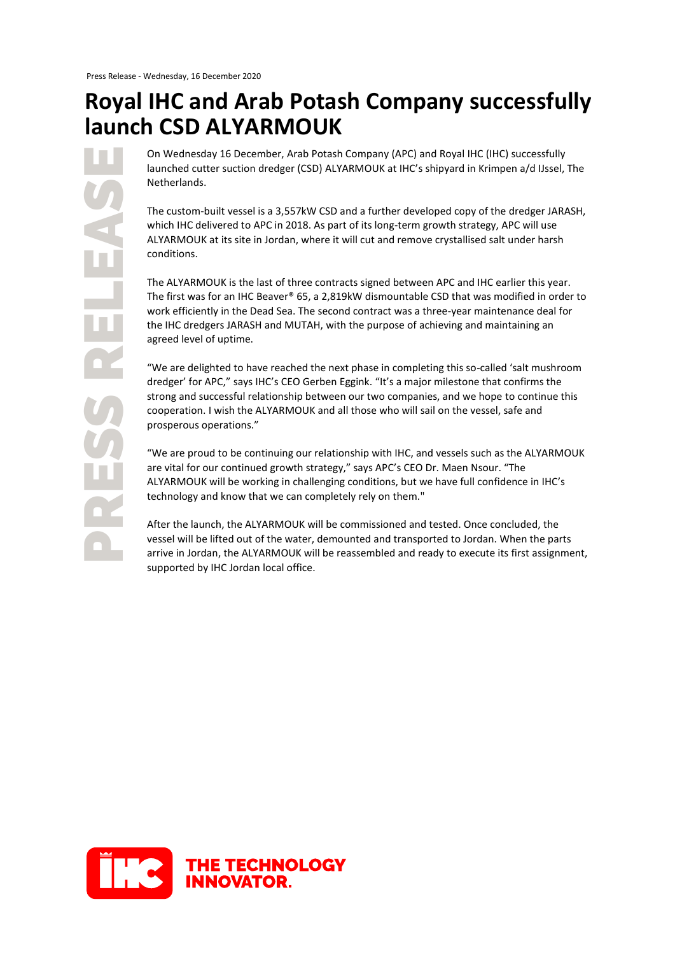## **Royal IHC and Arab Potash Company successfully launch CSD ALYARMOUK**

Press Release Release Release Release Release Release Release Release Release Release Release Release Release RESS RELEAS

On Wednesday 16 December, Arab Potash Company (APC) and Royal IHC (IHC) successfully launched cutter suction dredger (CSD) ALYARMOUK at IHC's shipyard in Krimpen a/d IJssel, The Netherlands.

The custom-built vessel is a 3,557kW CSD and a further developed copy of the dredger JARASH, which IHC delivered to APC in 2018. As part of its long-term growth strategy, APC will use ALYARMOUK at its site in Jordan, where it will cut and remove crystallised salt under harsh conditions.

The ALYARMOUK is the last of three contracts signed between APC and IHC earlier this year. The first was for an IHC Beaver® 65, a 2,819kW dismountable CSD that was modified in order to work efficiently in the Dead Sea. The second contract was a three-year maintenance deal for the IHC dredgers JARASH and MUTAH, with the purpose of achieving and maintaining an agreed level of uptime.

"We are delighted to have reached the next phase in completing this so-called 'salt mushroom dredger' for APC," says IHC's CEO Gerben Eggink. "It's a major milestone that confirms the strong and successful relationship between our two companies, and we hope to continue this cooperation. I wish the ALYARMOUK and all those who will sail on the vessel, safe and prosperous operations."

"We are proud to be continuing our relationship with IHC, and vessels such as the ALYARMOUK are vital for our continued growth strategy," says APC's CEO Dr. Maen Nsour. "The ALYARMOUK will be working in challenging conditions, but we have full confidence in IHC's technology and know that we can completely rely on them."

After the launch, the ALYARMOUK will be commissioned and tested. Once concluded, the vessel will be lifted out of the water, demounted and transported to Jordan. When the parts arrive in Jordan, the ALYARMOUK will be reassembled and ready to execute its first assignment, supported by IHC Jordan local office.